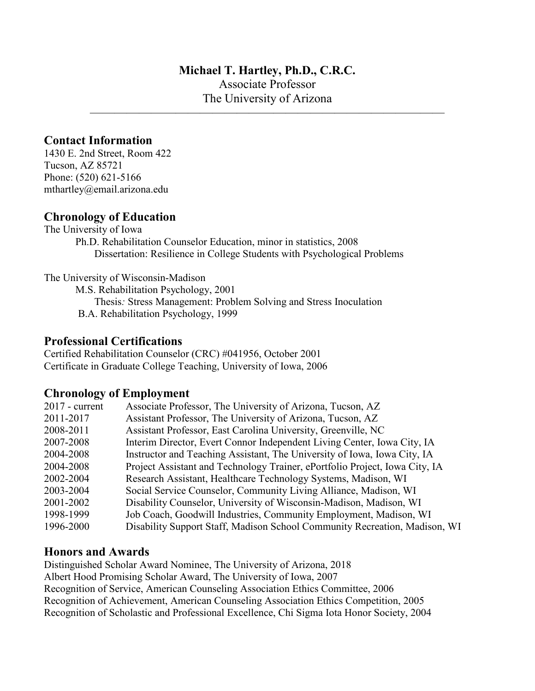## **Michael T. Hartley, Ph.D., C.R.C.**

Associate Professor The University of Arizona

 $\overline{\phantom{a}}$  , and the contribution of the contribution of  $\overline{\phantom{a}}$ 

# **Contact Information**

1430 E. 2nd Street, Room 422 Tucson, AZ 85721 Phone: (520) 621-5166 mthartley@email.arizona.edu

## **Chronology of Education**

The University of Iowa

Ph.D. Rehabilitation Counselor Education, minor in statistics, 2008 Dissertation: Resilience in College Students with Psychological Problems

The University of Wisconsin-Madison

M.S. Rehabilitation Psychology, 2001

Thesis*:* Stress Management: Problem Solving and Stress Inoculation B.A. Rehabilitation Psychology, 1999

# **Professional Certifications**

Certified Rehabilitation Counselor (CRC) #041956, October 2001 Certificate in Graduate College Teaching, University of Iowa, 2006

## **Chronology of Employment**

| $2017$ - current | Associate Professor, The University of Arizona, Tucson, AZ                  |
|------------------|-----------------------------------------------------------------------------|
| 2011-2017        | Assistant Professor, The University of Arizona, Tucson, AZ                  |
| 2008-2011        | Assistant Professor, East Carolina University, Greenville, NC               |
| 2007-2008        | Interim Director, Evert Connor Independent Living Center, Iowa City, IA     |
| 2004-2008        | Instructor and Teaching Assistant, The University of Iowa, Iowa City, IA    |
| 2004-2008        | Project Assistant and Technology Trainer, ePortfolio Project, Iowa City, IA |
| 2002-2004        | Research Assistant, Healthcare Technology Systems, Madison, WI              |
| 2003-2004        | Social Service Counselor, Community Living Alliance, Madison, WI            |
| 2001-2002        | Disability Counselor, University of Wisconsin-Madison, Madison, WI          |
| 1998-1999        | Job Coach, Goodwill Industries, Community Employment, Madison, WI           |
| 1996-2000        | Disability Support Staff, Madison School Community Recreation, Madison, WI  |
|                  |                                                                             |

# **Honors and Awards**

Distinguished Scholar Award Nominee, The University of Arizona, 2018 Albert Hood Promising Scholar Award, The University of Iowa, 2007 Recognition of Service, American Counseling Association Ethics Committee, 2006 Recognition of Achievement, American Counseling Association Ethics Competition, 2005 Recognition of Scholastic and Professional Excellence, Chi Sigma Iota Honor Society, 2004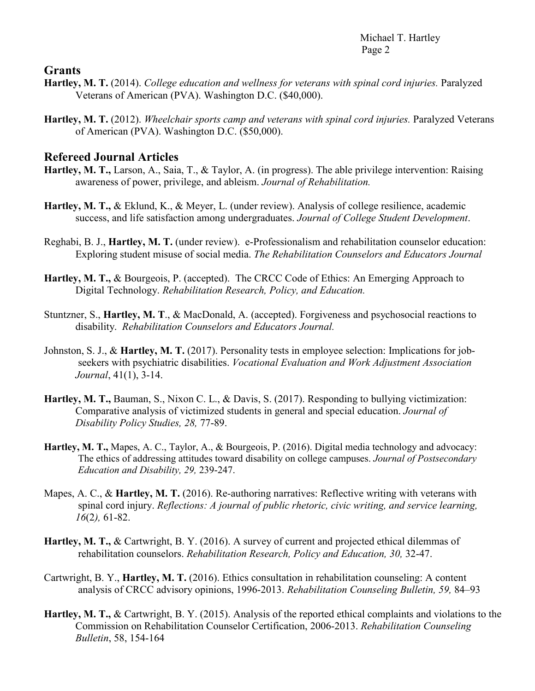## **Grants**

- **Hartley, M. T.** (2014). *College education and wellness for veterans with spinal cord injuries.* Paralyzed Veterans of American (PVA). Washington D.C. (\$40,000).
- **Hartley, M. T.** (2012). *Wheelchair sports camp and veterans with spinal cord injuries.* Paralyzed Veterans of American (PVA). Washington D.C. (\$50,000).

## **Refereed Journal Articles**

- **Hartley, M. T.,** Larson, A., Saia, T., & Taylor, A. (in progress). The able privilege intervention: Raising awareness of power, privilege, and ableism. *Journal of Rehabilitation.*
- **Hartley, M. T.,** & Eklund, K., & Meyer, L. (under review). Analysis of college resilience, academic success, and life satisfaction among undergraduates. *Journal of College Student Development*.
- Reghabi, B. J., **Hartley, M. T.** (under review). e-Professionalism and rehabilitation counselor education: Exploring student misuse of social media. *The Rehabilitation Counselors and Educators Journal*
- **Hartley, M. T.,** & Bourgeois, P. (accepted). The CRCC Code of Ethics: An Emerging Approach to Digital Technology. *Rehabilitation Research, Policy, and Education.*
- Stuntzner, S., **Hartley, M. T**., & MacDonald, A. (accepted). Forgiveness and psychosocial reactions to disability. *Rehabilitation Counselors and Educators Journal.*
- Johnston, S. J., & **Hartley, M. T.** (2017). Personality tests in employee selection: Implications for jobseekers with psychiatric disabilities. *Vocational Evaluation and Work Adjustment Association Journal*, 41(1), 3-14.
- **Hartley, M. T.,** Bauman, S., Nixon C. L., & Davis, S. (2017). Responding to bullying victimization: Comparative analysis of victimized students in general and special education. *Journal of Disability Policy Studies, 28,* 77-89.
- **Hartley, M. T.,** Mapes, A. C., Taylor, A., & Bourgeois, P. (2016). Digital media technology and advocacy: The ethics of addressing attitudes toward disability on college campuses. *Journal of Postsecondary Education and Disability, 29,* 239-247.
- Mapes, A. C., & **Hartley, M. T.** (2016). Re-authoring narratives: Reflective writing with veterans with spinal cord injury. *Reflections: A journal of public rhetoric, civic writing, and service learning, 16*(2*),* 61-82.
- **Hartley, M. T.,** & Cartwright, B. Y. (2016). A survey of current and projected ethical dilemmas of rehabilitation counselors. *Rehabilitation Research, Policy and Education, 30,* 32-47.
- Cartwright, B. Y., **Hartley, M. T.** (2016). Ethics consultation in rehabilitation counseling: A content analysis of CRCC advisory opinions, 1996-2013. *Rehabilitation Counseling Bulletin, 59,* 84–93
- **Hartley, M. T.,** & Cartwright, B. Y. (2015). Analysis of the reported ethical complaints and violations to the Commission on Rehabilitation Counselor Certification, 2006-2013. *Rehabilitation Counseling Bulletin*, 58, 154-164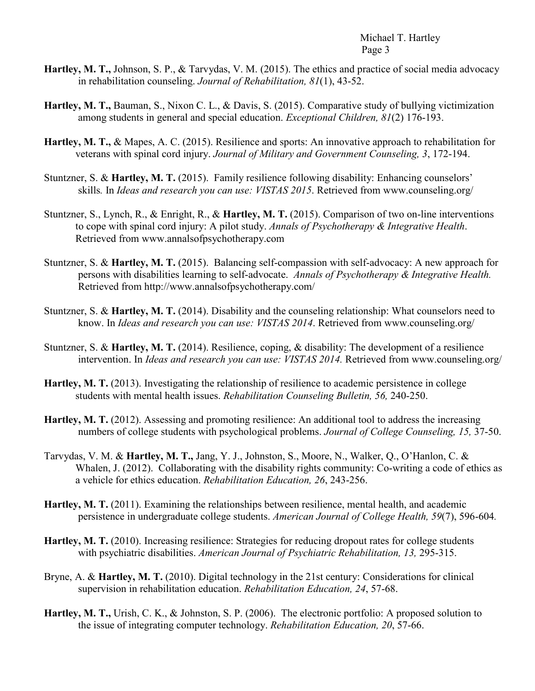- **Hartley, M. T.,** Johnson, S. P., & Tarvydas, V. M. (2015). The ethics and practice of social media advocacy in rehabilitation counseling. *Journal of Rehabilitation, 81*(1), 43-52.
- **Hartley, M. T.,** Bauman, S., Nixon C. L., & Davis, S. (2015). Comparative study of bullying victimization among students in general and special education. *Exceptional Children, 81*(2) 176-193.
- **Hartley, M. T.,** & Mapes, A. C. (2015). Resilience and sports: An innovative approach to rehabilitation for veterans with spinal cord injury. *Journal of Military and Government Counseling, 3*, 172-194.
- Stuntzner, S. & **Hartley, M. T.** (2015). Family resilience following disability: Enhancing counselors' skills*.* In *Ideas and research you can use: VISTAS 2015*. Retrieved from www.counseling.org/
- Stuntzner, S., Lynch, R., & Enright, R., & **Hartley, M. T.** (2015). Comparison of two on-line interventions to cope with spinal cord injury: A pilot study. *Annals of Psychotherapy & Integrative Health*. Retrieved from [www.annalsofpsychotherapy.com](http://www.annalsofpsychotherapy.com/)
- Stuntzner, S. & **Hartley, M. T.** (2015). Balancing self-compassion with self-advocacy: A new approach for persons with disabilities learning to self-advocate. *Annals of Psychotherapy & Integrative Health.*  Retrieved from http://www.annalsofpsychotherapy.com/
- Stuntzner, S. & **Hartley, M. T.** (2014). Disability and the counseling relationship: What counselors need to know. In *Ideas and research you can use: VISTAS 2014*. Retrieved from www.counseling.org/
- Stuntzner, S. & **Hartley, M. T.** (2014). Resilience, coping, & disability: The development of a resilience intervention. In *Ideas and research you can use: VISTAS 2014.* Retrieved from www.counseling.org/
- **Hartley, M. T.** (2013). Investigating the relationship of resilience to academic persistence in college students with mental health issues. *Rehabilitation Counseling Bulletin, 56,* 240-250.
- **Hartley, M. T.** (2012). Assessing and promoting resilience: An additional tool to address the increasing numbers of college students with psychological problems. *Journal of College Counseling, 15,* 37-50.
- Tarvydas, V. M. & **Hartley, M. T.,** Jang, Y. J., Johnston, S., Moore, N., Walker, Q., O'Hanlon, C. & Whalen, J. (2012). Collaborating with the disability rights community: Co-writing a code of ethics as a vehicle for ethics education. *Rehabilitation Education, 26*, 243-256.
- **Hartley, M. T.** (2011). Examining the relationships between resilience, mental health, and academic persistence in undergraduate college students. *American Journal of College Health, 59*(7), 596-604*.*
- **Hartley, M. T.** (2010). Increasing resilience: Strategies for reducing dropout rates for college students with psychiatric disabilities. *American Journal of Psychiatric Rehabilitation, 13,* 295-315.
- Bryne, A. & **Hartley, M. T.** (2010). Digital technology in the 21st century: Considerations for clinical supervision in rehabilitation education. *Rehabilitation Education, 24*, 57-68.
- **Hartley, M. T.,** Urish, C. K., & Johnston, S. P. (2006). The electronic portfolio: A proposed solution to the issue of integrating computer technology. *Rehabilitation Education, 20*, 57-66.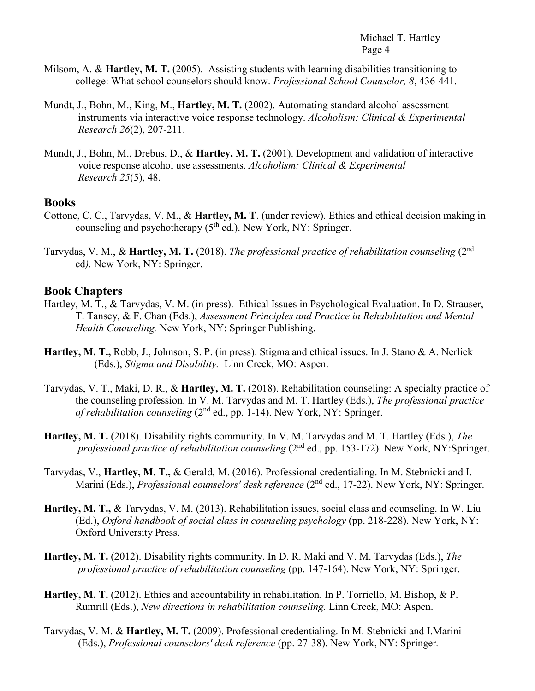- Milsom, A. & **Hartley, M. T.** (2005). Assisting students with learning disabilities transitioning to college: What school counselors should know. *Professional School Counselor, 8*, 436-441.
- Mundt, J., Bohn, M., King, M., **Hartley, M. T.** (2002). Automating standard alcohol assessment instruments via interactive voice response technology. *Alcoholism: Clinical & Experimental Research 26*(2), 207-211.
- Mundt, J., Bohn, M., Drebus, D., & **Hartley, M. T.** (2001). Development and validation of interactive voice response alcohol use assessments. *Alcoholism: Clinical & Experimental Research 25*(5), 48.

#### **Books**

- Cottone, C. C., Tarvydas, V. M., & **Hartley, M. T**. (under review). Ethics and ethical decision making in counseling and psychotherapy  $(5<sup>th</sup>$  ed.). New York, NY: Springer.
- Tarvydas, V. M., & **Hartley, M. T.** (2018). *The professional practice of rehabilitation counseling* (2nd ed*).* New York, NY: Springer.

#### **Book Chapters**

- Hartley, M. T., & Tarvydas, V. M. (in press). Ethical Issues in Psychological Evaluation. In D. Strauser, T. Tansey, & F. Chan (Eds.), *Assessment Principles and Practice in Rehabilitation and Mental Health Counseling.* New York, NY: Springer Publishing.
- **Hartley, M. T.,** Robb, J., Johnson, S. P. (in press). Stigma and ethical issues. In J. Stano & A. Nerlick (Eds.), *Stigma and Disability.* Linn Creek, MO: Aspen.
- Tarvydas, V. T., Maki, D. R., & **Hartley, M. T.** (2018). Rehabilitation counseling: A specialty practice of the counseling profession. In V. M. Tarvydas and M. T. Hartley (Eds.), *The professional practice of rehabilitation counseling* (2nd ed., pp. 1-14). New York, NY: Springer.
- **Hartley, M. T.** (2018). Disability rights community. In V. M. Tarvydas and M. T. Hartley (Eds.), *The professional practice of rehabilitation counseling* (2nd ed., pp. 153-172). New York, NY:Springer.
- Tarvydas, V., **Hartley, M. T.,** & Gerald, M. (2016). Professional credentialing. In M. Stebnicki and I. Marini (Eds.), *Professional counselors' desk reference* (2<sup>nd</sup> ed., 17-22). New York, NY: Springer.
- **Hartley, M. T.,** & Tarvydas, V. M. (2013). Rehabilitation issues, social class and counseling. In W. Liu (Ed.), *Oxford handbook of social class in counseling psychology* (pp. 218-228). New York, NY: Oxford University Press.
- **Hartley, M. T.** (2012). Disability rights community. In D. R. Maki and V. M. Tarvydas (Eds.), *The professional practice of rehabilitation counseling* (pp. 147-164). New York, NY: Springer.
- **Hartley, M. T.** (2012). Ethics and accountability in rehabilitation. In P. Torriello, M. Bishop, & P. Rumrill (Eds.), *New directions in rehabilitation counseling.* Linn Creek, MO: Aspen.
- Tarvydas, V. M. & **Hartley, M. T.** (2009). Professional credentialing. In M. Stebnicki and I.Marini (Eds.), *Professional counselors' desk reference* (pp. 27-38). New York, NY: Springer*.*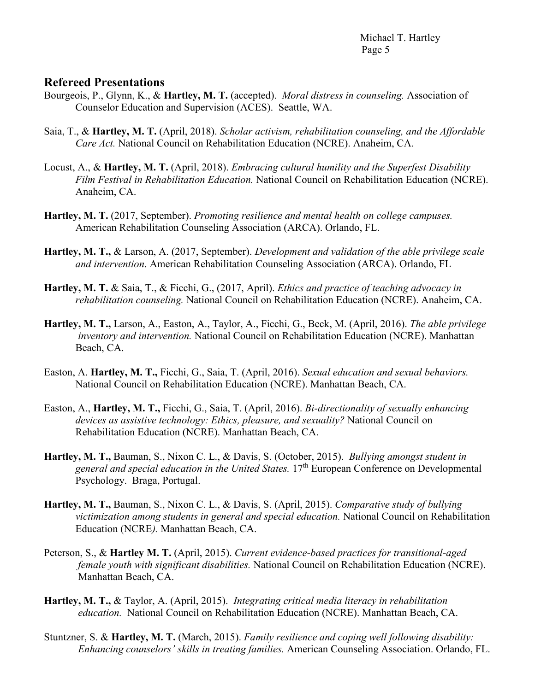## **Refereed Presentations**

- Bourgeois, P., Glynn, K., & **Hartley, M. T.** (accepted). *Moral distress in counseling.* Association of Counselor Education and Supervision (ACES). Seattle, WA.
- Saia, T., & **Hartley, M. T.** (April, 2018). *Scholar activism, rehabilitation counseling, and the Affordable Care Act.* National Council on Rehabilitation Education (NCRE). Anaheim, CA.
- Locust, A., & **Hartley, M. T.** (April, 2018). *Embracing cultural humility and the Superfest Disability Film Festival in Rehabilitation Education.* National Council on Rehabilitation Education (NCRE). Anaheim, CA.
- **Hartley, M. T.** (2017, September). *Promoting resilience and mental health on college campuses.* American Rehabilitation Counseling Association (ARCA). Orlando, FL.
- **Hartley, M. T.,** & Larson, A. (2017, September). *Development and validation of the able privilege scale and intervention*. American Rehabilitation Counseling Association (ARCA). Orlando, FL
- **Hartley, M. T.** & Saia, T., & Ficchi, G., (2017, April). *Ethics and practice of teaching advocacy in rehabilitation counseling.* National Council on Rehabilitation Education (NCRE). Anaheim, CA.
- **Hartley, M. T.,** Larson, A., Easton, A., Taylor, A., Ficchi, G., Beck, M. (April, 2016). *The able privilege inventory and intervention.* National Council on Rehabilitation Education (NCRE). Manhattan Beach, CA.
- Easton, A. **Hartley, M. T.,** Ficchi, G., Saia, T. (April, 2016). *Sexual education and sexual behaviors.* National Council on Rehabilitation Education (NCRE). Manhattan Beach, CA.
- Easton, A., **Hartley, M. T.,** Ficchi, G., Saia, T. (April, 2016). *Bi-directionality of sexually enhancing devices as assistive technology: Ethics, pleasure, and sexuality?* National Council on Rehabilitation Education (NCRE). Manhattan Beach, CA.
- **Hartley, M. T.,** Bauman, S., Nixon C. L., & Davis, S. (October, 2015). *Bullying amongst student in general and special education in the United States.* 17th European Conference on Developmental Psychology. Braga, Portugal.
- **Hartley, M. T.,** Bauman, S., Nixon C. L., & Davis, S. (April, 2015). *Comparative study of bullying victimization among students in general and special education.* National Council on Rehabilitation Education (NCRE*).* Manhattan Beach, CA.
- Peterson, S., & **Hartley M. T.** (April, 2015). *Current evidence-based practices for transitional-aged female youth with significant disabilities.* National Council on Rehabilitation Education (NCRE). Manhattan Beach, CA.
- **Hartley, M. T.,** & Taylor, A. (April, 2015). *Integrating critical media literacy in rehabilitation education.* National Council on Rehabilitation Education (NCRE). Manhattan Beach, CA.
- Stuntzner, S. & **Hartley, M. T.** (March, 2015). *Family resilience and coping well following disability: Enhancing counselors' skills in treating families.* American Counseling Association. Orlando, FL.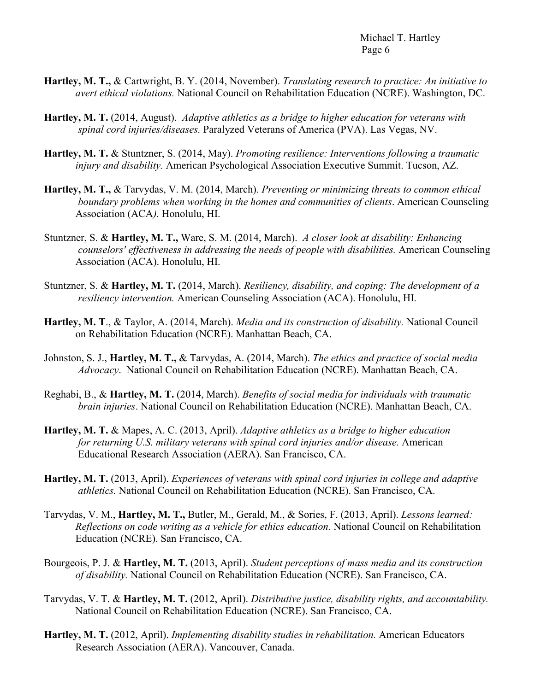- **Hartley, M. T.,** & Cartwright, B. Y. (2014, November). *Translating research to practice: An initiative to avert ethical violations.* National Council on Rehabilitation Education (NCRE). Washington, DC.
- **Hartley, M. T.** (2014, August). *Adaptive athletics as a bridge to higher education for veterans with spinal cord injuries/diseases.* Paralyzed Veterans of America (PVA). Las Vegas, NV.
- **Hartley, M. T.** & Stuntzner, S. (2014, May). *Promoting resilience: Interventions following a traumatic injury and disability.* American Psychological Association Executive Summit. Tucson, AZ.
- **Hartley, M. T.,** & Tarvydas, V. M. (2014, March). *Preventing or minimizing threats to common ethical boundary problems when working in the homes and communities of clients*. American Counseling Association (ACA*).* Honolulu, HI.
- Stuntzner, S. & **Hartley, M. T.,** Ware, S. M. (2014, March). *A closer look at disability: Enhancing counselors' effectiveness in addressing the needs of people with disabilities.* American Counseling Association (ACA). Honolulu, HI.
- Stuntzner, S. & **Hartley, M. T.** (2014, March). *Resiliency, disability, and coping: The development of a resiliency intervention.* American Counseling Association (ACA). Honolulu, HI.
- **Hartley, M. T**., & Taylor, A. (2014, March). *Media and its construction of disability.* National Council on Rehabilitation Education (NCRE). Manhattan Beach, CA.
- Johnston, S. J., **Hartley, M. T.,** & Tarvydas, A. (2014, March). *The ethics and practice of social media Advocacy*. National Council on Rehabilitation Education (NCRE). Manhattan Beach, CA.
- Reghabi, B., & **Hartley, M. T.** (2014, March). *Benefits of social media for individuals with traumatic brain injuries*. National Council on Rehabilitation Education (NCRE). Manhattan Beach, CA.
- **Hartley, M. T.** & Mapes, A. C. (2013, April). *Adaptive athletics as a bridge to higher education for returning U.S. military veterans with spinal cord injuries and/or disease.* American Educational Research Association (AERA). San Francisco, CA.
- **Hartley, M. T.** (2013, April). *Experiences of veterans with spinal cord injuries in college and adaptive athletics.* National Council on Rehabilitation Education (NCRE). San Francisco, CA.
- Tarvydas, V. M., **Hartley, M. T.,** Butler, M., Gerald, M., & Sories, F. (2013, April). *Lessons learned: Reflections on code writing as a vehicle for ethics education.* National Council on Rehabilitation Education (NCRE). San Francisco, CA.
- Bourgeois, P. J. & **Hartley, M. T.** (2013, April). *Student perceptions of mass media and its construction of disability.* National Council on Rehabilitation Education (NCRE). San Francisco, CA.
- Tarvydas, V. T. & **Hartley, M. T.** (2012, April). *Distributive justice, disability rights, and accountability.* National Council on Rehabilitation Education (NCRE). San Francisco, CA.
- **Hartley, M. T.** (2012, April). *Implementing disability studies in rehabilitation.* American Educators Research Association (AERA). Vancouver, Canada.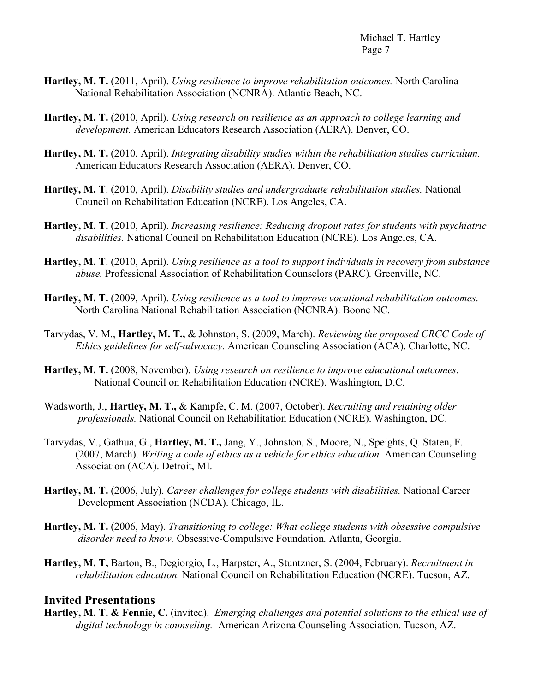- **Hartley, M. T.** (2011, April). *Using resilience to improve rehabilitation outcomes.* North Carolina National Rehabilitation Association (NCNRA). Atlantic Beach, NC.
- **Hartley, M. T.** (2010, April). *Using research on resilience as an approach to college learning and development.* American Educators Research Association (AERA). Denver, CO.
- **Hartley, M. T.** (2010, April). *Integrating disability studies within the rehabilitation studies curriculum.* American Educators Research Association (AERA). Denver, CO.
- **Hartley, M. T**. (2010, April). *Disability studies and undergraduate rehabilitation studies.* National Council on Rehabilitation Education (NCRE). Los Angeles, CA.
- **Hartley, M. T.** (2010, April). *Increasing resilience: Reducing dropout rates for students with psychiatric disabilities.* National Council on Rehabilitation Education (NCRE). Los Angeles, CA.
- **Hartley, M. T**. (2010, April). *Using resilience as a tool to support individuals in recovery from substance abuse.* Professional Association of Rehabilitation Counselors (PARC)*.* Greenville, NC.
- **Hartley, M. T.** (2009, April). *Using resilience as a tool to improve vocational rehabilitation outcomes*. North Carolina National Rehabilitation Association (NCNRA). Boone NC.
- Tarvydas, V. M., **Hartley, M. T.,** & Johnston, S. (2009, March). *Reviewing the proposed CRCC Code of Ethics guidelines for self-advocacy.* American Counseling Association (ACA). Charlotte, NC.
- **Hartley, M. T.** (2008, November). *Using research on resilience to improve educational outcomes.* National Council on Rehabilitation Education (NCRE). Washington, D.C.
- Wadsworth, J., **Hartley, M. T.,** & Kampfe, C. M. (2007, October). *Recruiting and retaining older professionals.* National Council on Rehabilitation Education (NCRE). Washington, DC.
- Tarvydas, V., Gathua, G., **Hartley, M. T.,** Jang, Y., Johnston, S., Moore, N., Speights, Q. Staten, F. (2007, March). *Writing a code of ethics as a vehicle for ethics education.* American Counseling Association (ACA). Detroit, MI.
- **Hartley, M. T.** (2006, July). *Career challenges for college students with disabilities.* National Career Development Association (NCDA). Chicago, IL.
- **Hartley, M. T.** (2006, May). *Transitioning to college: What college students with obsessive compulsive disorder need to know.* Obsessive-Compulsive Foundation*.* Atlanta, Georgia.
- **Hartley, M. T,** Barton, B., Degiorgio, L., Harpster, A., Stuntzner, S. (2004, February). *Recruitment in rehabilitation education.* National Council on Rehabilitation Education (NCRE). Tucson, AZ.

#### **Invited Presentations**

**Hartley, M. T. & Fennie, C.** (invited). *Emerging challenges and potential solutions to the ethical use of digital technology in counseling.* American Arizona Counseling Association. Tucson, AZ.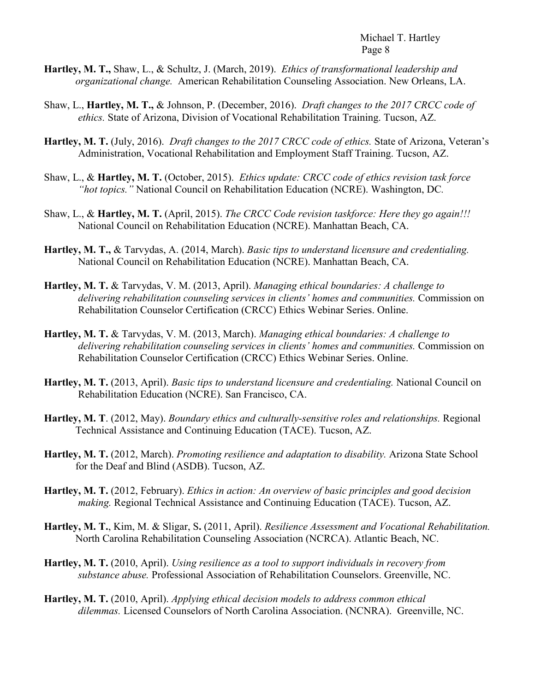- **Hartley, M. T.,** Shaw, L., & Schultz, J. (March, 2019). *Ethics of transformational leadership and organizational change.* American Rehabilitation Counseling Association. New Orleans, LA.
- Shaw, L., **Hartley, M. T.,** & Johnson, P. (December, 2016). *Draft changes to the 2017 CRCC code of ethics.* State of Arizona, Division of Vocational Rehabilitation Training. Tucson, AZ.
- **Hartley, M. T.** (July, 2016). *Draft changes to the 2017 CRCC code of ethics.* State of Arizona, Veteran's Administration, Vocational Rehabilitation and Employment Staff Training. Tucson, AZ.
- Shaw, L., & **Hartley, M. T.** (October, 2015). *Ethics update: CRCC code of ethics revision task force "hot topics."* National Council on Rehabilitation Education (NCRE). Washington, DC*.*
- Shaw, L., & **Hartley, M. T.** (April, 2015). *The CRCC Code revision taskforce: Here they go again!!!* National Council on Rehabilitation Education (NCRE). Manhattan Beach, CA.
- **Hartley, M. T.,** & Tarvydas, A. (2014, March). *Basic tips to understand licensure and credentialing.* National Council on Rehabilitation Education (NCRE). Manhattan Beach, CA.
- **Hartley, M. T.** & Tarvydas, V. M. (2013, April). *Managing ethical boundaries: A challenge to delivering rehabilitation counseling services in clients' homes and communities.* Commission on Rehabilitation Counselor Certification (CRCC) Ethics Webinar Series. Online.
- **Hartley, M. T.** & Tarvydas, V. M. (2013, March). *Managing ethical boundaries: A challenge to delivering rehabilitation counseling services in clients' homes and communities.* Commission on Rehabilitation Counselor Certification (CRCC) Ethics Webinar Series. Online.
- **Hartley, M. T.** (2013, April). *Basic tips to understand licensure and credentialing.* National Council on Rehabilitation Education (NCRE). San Francisco, CA.
- **Hartley, M. T**. (2012, May). *Boundary ethics and culturally-sensitive roles and relationships.* Regional Technical Assistance and Continuing Education (TACE). Tucson, AZ.
- **Hartley, M. T.** (2012, March). *Promoting resilience and adaptation to disability.* Arizona State School for the Deaf and Blind (ASDB). Tucson, AZ.
- **Hartley, M. T.** (2012, February). *Ethics in action: An overview of basic principles and good decision making.* Regional Technical Assistance and Continuing Education (TACE). Tucson, AZ.
- **Hartley, M. T.**, Kim, M. & Sligar, S**.** (2011, April). *Resilience Assessment and Vocational Rehabilitation.* North Carolina Rehabilitation Counseling Association (NCRCA). Atlantic Beach, NC.
- **Hartley, M. T.** (2010, April). *Using resilience as a tool to support individuals in recovery from substance abuse.* Professional Association of Rehabilitation Counselors. Greenville, NC.
- **Hartley, M. T.** (2010, April). *Applying ethical decision models to address common ethical dilemmas.* Licensed Counselors of North Carolina Association. (NCNRA). Greenville, NC.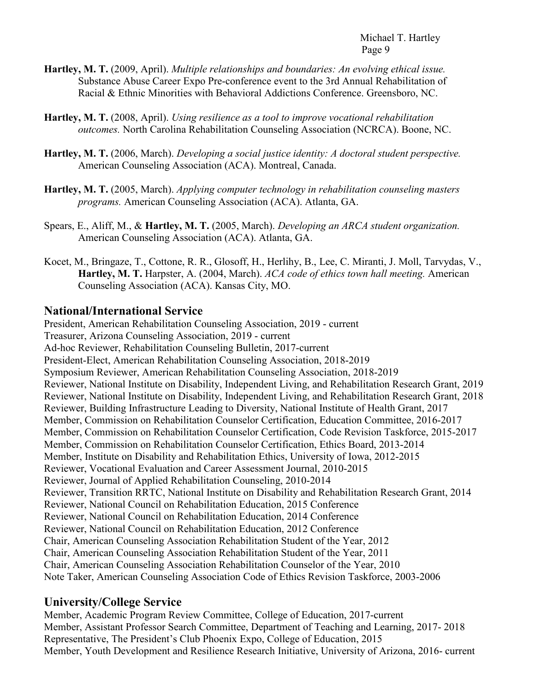- **Hartley, M. T.** (2009, April). *Multiple relationships and boundaries: An evolving ethical issue.* Substance Abuse Career Expo Pre-conference event to the 3rd Annual Rehabilitation of Racial & Ethnic Minorities with Behavioral Addictions Conference. Greensboro, NC.
- **Hartley, M. T.** (2008, April). *Using resilience as a tool to improve vocational rehabilitation outcomes.* North Carolina Rehabilitation Counseling Association (NCRCA). Boone, NC.
- **Hartley, M. T.** (2006, March). *Developing a social justice identity: A doctoral student perspective.* American Counseling Association (ACA). Montreal, Canada.
- **Hartley, M. T.** (2005, March). *Applying computer technology in rehabilitation counseling masters programs.* American Counseling Association (ACA). Atlanta, GA.
- Spears, E., Aliff, M., & **Hartley, M. T.** (2005, March). *Developing an ARCA student organization.* American Counseling Association (ACA). Atlanta, GA.
- Kocet, M., Bringaze, T., Cottone, R. R., Glosoff, H., Herlihy, B., Lee, C. Miranti, J. Moll, Tarvydas, V., **Hartley, M. T.** Harpster, A. (2004, March). *ACA code of ethics town hall meeting.* American Counseling Association (ACA). Kansas City, MO.

# **National/International Service**

President, American Rehabilitation Counseling Association, 2019 - current Treasurer, Arizona Counseling Association, 2019 - current Ad-hoc Reviewer, Rehabilitation Counseling Bulletin, 2017-current President-Elect, American Rehabilitation Counseling Association, 2018-2019 Symposium Reviewer, American Rehabilitation Counseling Association, 2018-2019 Reviewer, National Institute on Disability, Independent Living, and Rehabilitation Research Grant, 2019 Reviewer, National Institute on Disability, Independent Living, and Rehabilitation Research Grant, 2018 Reviewer, Building Infrastructure Leading to Diversity, National Institute of Health Grant, 2017 Member, Commission on Rehabilitation Counselor Certification, Education Committee, 2016-2017 Member, Commission on Rehabilitation Counselor Certification, Code Revision Taskforce, 2015-2017 Member, Commission on Rehabilitation Counselor Certification, Ethics Board, 2013-2014 Member, Institute on Disability and Rehabilitation Ethics, University of Iowa, 2012-2015 Reviewer, Vocational Evaluation and Career Assessment Journal, 2010-2015 Reviewer, Journal of Applied Rehabilitation Counseling, 2010-2014 Reviewer, Transition RRTC, National Institute on Disability and Rehabilitation Research Grant, 2014 Reviewer, National Council on Rehabilitation Education, 2015 Conference Reviewer, National Council on Rehabilitation Education, 2014 Conference Reviewer, National Council on Rehabilitation Education, 2012 Conference Chair, American Counseling Association Rehabilitation Student of the Year, 2012 Chair, American Counseling Association Rehabilitation Student of the Year, 2011 Chair, American Counseling Association Rehabilitation Counselor of the Year, 2010 Note Taker, American Counseling Association Code of Ethics Revision Taskforce, 2003-2006

# **University/College Service**

Member, Academic Program Review Committee, College of Education, 2017-current Member, Assistant Professor Search Committee, Department of Teaching and Learning, 2017- 2018 Representative, The President's Club Phoenix Expo, College of Education, 2015 Member, Youth Development and Resilience Research Initiative, University of Arizona, 2016- current